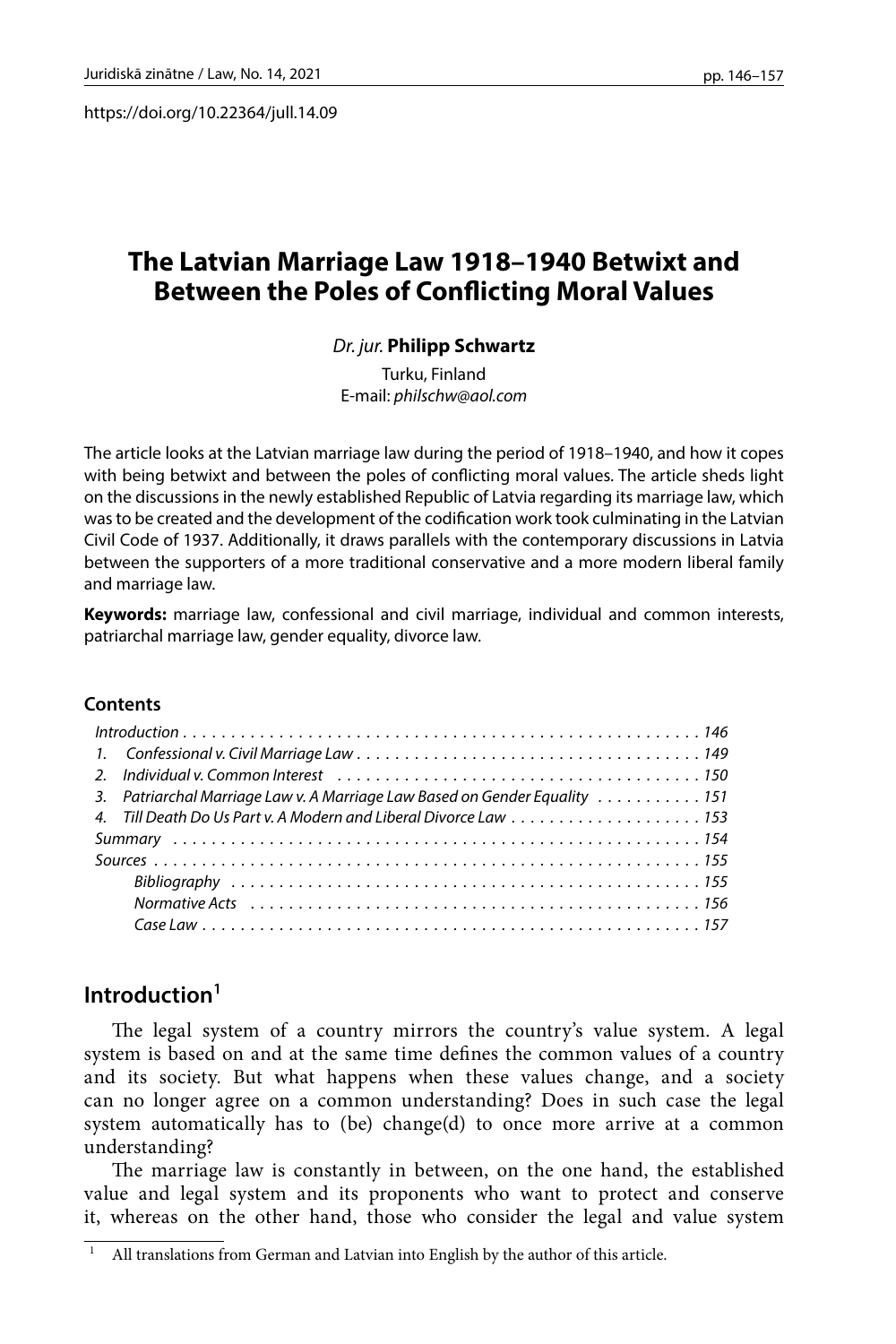https://doi.org/10.22364/jull.14.09

# **The Latvian Marriage Law 1918–1940 Betwixt and Between the Poles of Conflicting Moral Values**

### *Dr. jur.* **Philipp Schwartz**

Turku, Finland E-mail: *[philschw@aol.com](mailto:philschw@aol.com)*

The article looks at the Latvian marriage law during the period of 1918–1940, and how it copes with being betwixt and between the poles of conflicting moral values. The article sheds light on the discussions in the newly established Republic of Latvia regarding its marriage law, which was to be created and the development of the codification work took culminating in the Latvian Civil Code of 1937. Additionally, it draws parallels with the contemporary discussions in Latvia between the supporters of a more traditional conservative and a more modern liberal family and marriage law.

**Keywords:** marriage law, confessional and civil marriage, individual and common interests, patriarchal marriage law, gender equality, divorce law.

#### **Contents**

| 2. Individual v. Common Interest $\ldots, \ldots, \ldots, \ldots, \ldots, \ldots, \ldots, \ldots, \ldots, \ldots, 150$ |  |
|------------------------------------------------------------------------------------------------------------------------|--|
| 3. Patriarchal Marriage Law v. A Marriage Law Based on Gender Equality 151                                             |  |
| 4. Till Death Do Us Part v. A Modern and Liberal Divorce Law  153                                                      |  |
|                                                                                                                        |  |
|                                                                                                                        |  |
|                                                                                                                        |  |
|                                                                                                                        |  |
|                                                                                                                        |  |

## **Introduction1**

The legal system of a country mirrors the country's value system. A legal system is based on and at the same time defines the common values of a country and its society. But what happens when these values change, and a society can no longer agree on a common understanding? Does in such case the legal system automatically has to (be) change(d) to once more arrive at a common understanding?

The marriage law is constantly in between, on the one hand, the established value and legal system and its proponents who want to protect and conserve it, whereas on the other hand, those who consider the legal and value system

All translations from German and Latvian into English by the author of this article.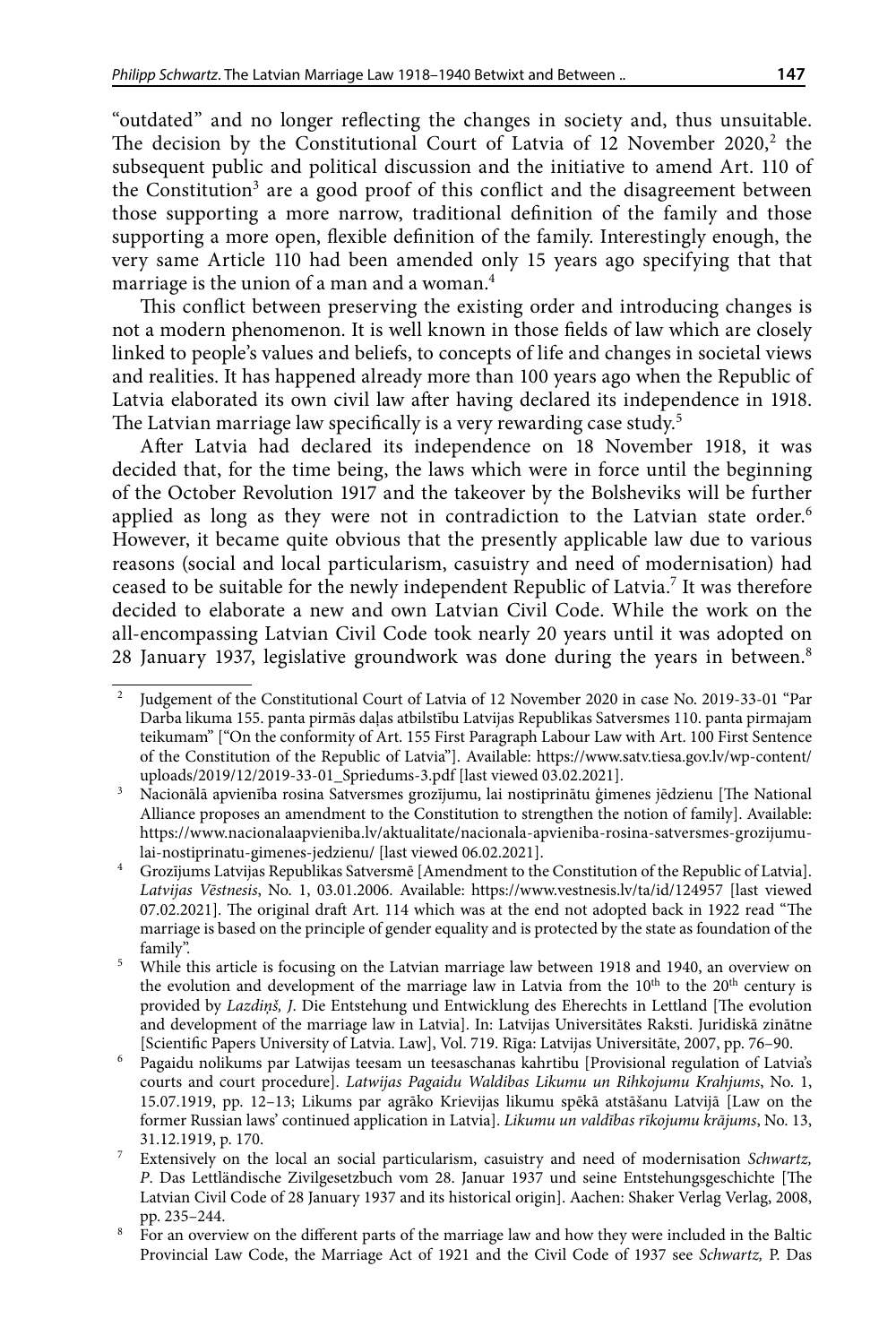"outdated" and no longer reflecting the changes in society and, thus unsuitable. The decision by the Constitutional Court of Latvia of 12 November 2020, $2$  the subsequent public and political discussion and the initiative to amend Art. 110 of the Constitution<sup>3</sup> are a good proof of this conflict and the disagreement between those supporting a more narrow, traditional definition of the family and those supporting a more open, flexible definition of the family. Interestingly enough, the very same Article 110 had been amended only 15 years ago specifying that that marriage is the union of a man and a woman.<sup>4</sup>

This conflict between preserving the existing order and introducing changes is not a modern phenomenon. It is well known in those fields of law which are closely linked to people's values and beliefs, to concepts of life and changes in societal views and realities. It has happened already more than 100 years ago when the Republic of Latvia elaborated its own civil law after having declared its independence in 1918. The Latvian marriage law specifically is a very rewarding case study.<sup>5</sup>

After Latvia had declared its independence on 18 November 1918, it was decided that, for the time being, the laws which were in force until the beginning of the October Revolution 1917 and the takeover by the Bolsheviks will be further applied as long as they were not in contradiction to the Latvian state order.<sup>6</sup> However, it became quite obvious that the presently applicable law due to various reasons (social and local particularism, casuistry and need of modernisation) had ceased to be suitable for the newly independent Republic of Latvia.<sup>7</sup> It was therefore decided to elaborate a new and own Latvian Civil Code. While the work on the all-encompassing Latvian Civil Code took nearly 20 years until it was adopted on 28 January 1937, legislative groundwork was done during the years in between.<sup>8</sup>

<sup>2</sup> Judgement of the Constitutional Court of Latvia of 12 November 2020 in case No. 2019-33-01 "Par Darba likuma 155. panta pirmās daļas atbilstību Latvijas Republikas Satversmes 110. panta pirmajam teikumam" ["On the conformity of Art. 155 First Paragraph Labour Law with Art. 100 First Sentence of the Constitution of the Republic of Latvia"]. Available: [https://www.satv.tiesa.gov.lv/wp-content/](https://www.satv.tiesa.gov.lv/wp-content/uploads/2019/12/2019-33-01_Spriedums-3.pdf) [uploads/2019/12/2019-33-01\\_Spriedums-3.pdf](https://www.satv.tiesa.gov.lv/wp-content/uploads/2019/12/2019-33-01_Spriedums-3.pdf) [last viewed 03.02.2021].

<sup>3</sup> Nacionālā apvienība rosina Satversmes grozījumu, lai nostiprinātu ģimenes jēdzienu [The National Alliance proposes an amendment to the Constitution to strengthen the notion of family]. Available: [https://www.nacionalaapvieniba.lv/aktualitate/nacionala-apvieniba-rosina-satversmes-grozijumu](https://www.nacionalaapvieniba.lv/aktualitate/nacionala-apvieniba-rosina-satversmes-grozijumu-lai-nostiprinatu-gimenes-jedzienu/)[lai-nostiprinatu-gimenes-jedzienu/](https://www.nacionalaapvieniba.lv/aktualitate/nacionala-apvieniba-rosina-satversmes-grozijumu-lai-nostiprinatu-gimenes-jedzienu/) [last viewed 06.02.2021].

<sup>4</sup> Grozījums Latvijas Republikas Satversmē [Amendment to the Constitution of the Republic of Latvia]. *Latvijas Vēstnesis*, No. 1, 03.01.2006. Available: <https://www.vestnesis.lv/ta/id/124957> [last viewed 07.02.2021]. The original draft Art. 114 which was at the end not adopted back in 1922 read "The marriage is based on the principle of gender equality and is protected by the state as foundation of the family".

<sup>5</sup> While this article is focusing on the Latvian marriage law between 1918 and 1940, an overview on the evolution and development of the marriage law in Latvia from the  $10<sup>th</sup>$  to the  $20<sup>th</sup>$  century is provided by *Lazdiņš, J*. Die Entstehung und Entwicklung des Eherechts in Lettland [The evolution and development of the marriage law in Latvia]. In: Latvijas Universitātes Raksti. Juridiskā zinātne [Scientific Papers University of Latvia. Law], Vol. 719. Rīga: Latvijas Universitāte, 2007, pp. 76–90.

<sup>6</sup> Pagaidu nolikums par Latwijas teesam un teesaschanas kahrtibu [Provisional regulation of Latvia's courts and court procedure]. *Latwijas Pagaidu Waldibas Likumu un Rihkojumu Krahjums*, No. 1, 15.07.1919, pp. 12–13; Likums par agrāko Krievijas likumu spēkā atstāšanu Latvijā [Law on the former Russian laws' continued application in Latvia]. *Likumu un valdības rīkojumu krājums*, No. 13, 31.12.1919, p. 170.<br>Extensively on the local an social particularism, casuistry and need of modernisation *Schwartz*,

*P*. Das Lettländische Zivilgesetzbuch vom 28. Januar 1937 und seine Entstehungsgeschichte [The Latvian Civil Code of 28 January 1937 and its historical origin]. Aachen: Shaker Verlag Verlag, 2008, pp. 235–244.

<sup>8</sup> For an overview on the different parts of the marriage law and how they were included in the Baltic Provincial Law Code, the Marriage Act of 1921 and the Civil Code of 1937 see *Schwartz,* P. Das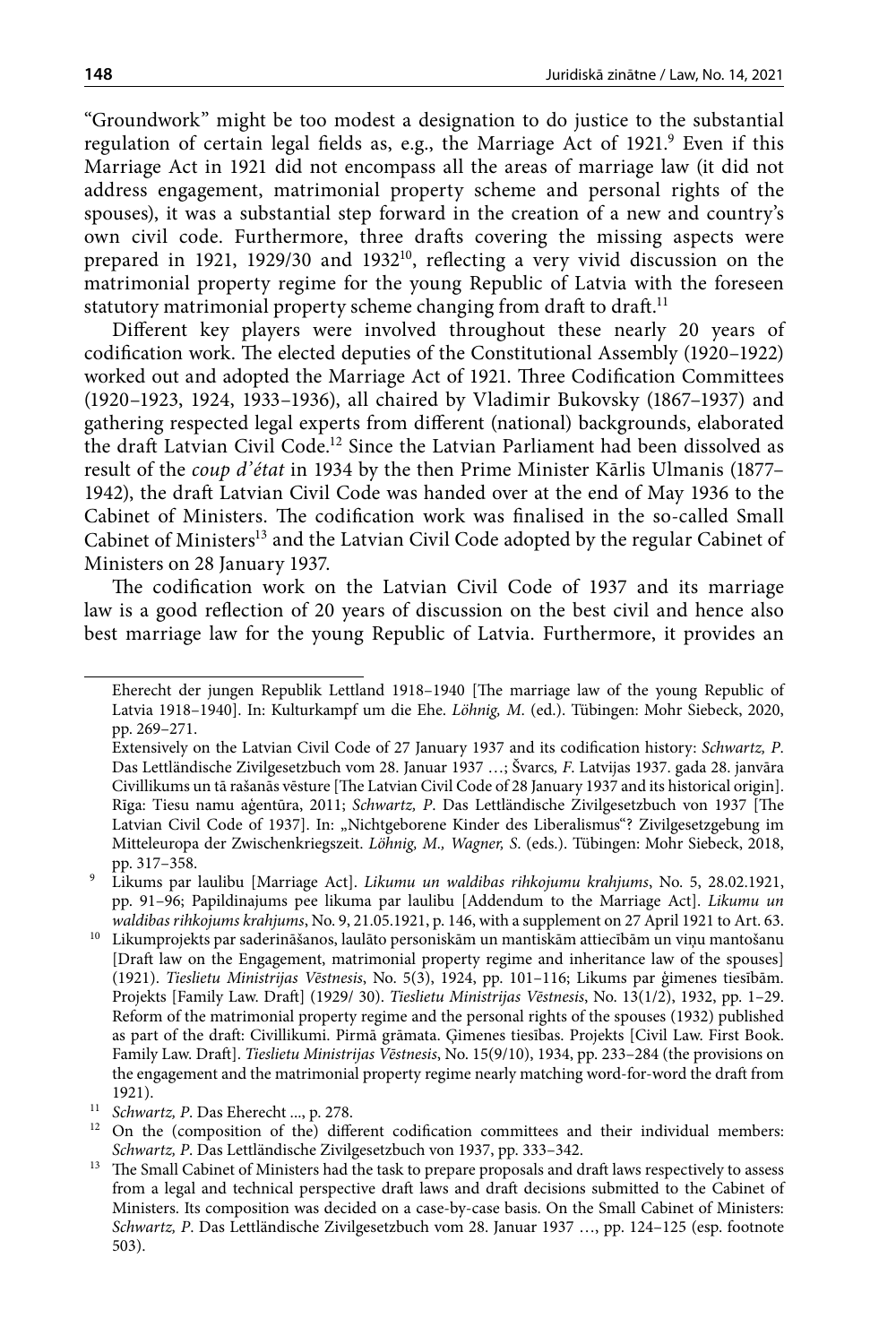"Groundwork" might be too modest a designation to do justice to the substantial regulation of certain legal fields as, e.g., the Marriage Act of 1921.<sup>9</sup> Even if this Marriage Act in 1921 did not encompass all the areas of marriage law (it did not address engagement, matrimonial property scheme and personal rights of the spouses), it was a substantial step forward in the creation of a new and country's own civil code. Furthermore, three drafts covering the missing aspects were prepared in 1921, 1929/30 and 1932<sup>10</sup>, reflecting a very vivid discussion on the matrimonial property regime for the young Republic of Latvia with the foreseen statutory matrimonial property scheme changing from draft to draft.<sup>11</sup>

Different key players were involved throughout these nearly 20 years of codification work. The elected deputies of the Constitutional Assembly (1920–1922) worked out and adopted the Marriage Act of 1921. Three Codification Committees (1920–1923, 1924, 1933–1936), all chaired by Vladimir Bukovsky (1867–1937) and gathering respected legal experts from different (national) backgrounds, elaborated the draft Latvian Civil Code.12 Since the Latvian Parliament had been dissolved as result of the *coup d'état* in 1934 by the then Prime Minister Kārlis Ulmanis (1877– 1942), the draft Latvian Civil Code was handed over at the end of May 1936 to the Cabinet of Ministers. The codification work was finalised in the so-called Small Cabinet of Ministers<sup>13</sup> and the Latvian Civil Code adopted by the regular Cabinet of Ministers on 28 January 1937.

The codification work on the Latvian Civil Code of 1937 and its marriage law is a good reflection of 20 years of discussion on the best civil and hence also best marriage law for the young Republic of Latvia. Furthermore, it provides an

Eherecht der jungen Republik Lettland 1918–1940 [The marriage law of the young Republic of Latvia 1918–1940]. In: Kulturkampf um die Ehe. *Löhnig, M*. (ed.). Tübingen: Mohr Siebeck, 2020, pp. 269–271.

Extensively on the Latvian Civil Code of 27 January 1937 and its codification history: *Schwartz, P*. Das Lettländische Zivilgesetzbuch vom 28. Januar 1937 …; Švarcs*, F*. Latvijas 1937. gada 28. janvāra Civillikums un tā rašanās vēsture [The Latvian Civil Code of 28 January 1937 and its historical origin]. Rīga: Tiesu namu aģentūra, 2011; *Schwartz, P*. Das Lettländische Zivilgesetzbuch von 1937 [The Latvian Civil Code of 1937]. In: "Nichtgeborene Kinder des Liberalismus"? Zivilgesetzgebung im Mitteleuropa der Zwischenkriegszeit. *Löhnig, M., Wagner, S*. (eds.). Tübingen: Mohr Siebeck, 2018, pp. 317–358.

<sup>9</sup> Likums par laulibu [Marriage Act]. *Likumu un waldibas rihkojumu krahjums*, No. 5, 28.02.1921, pp. 91–96; Papildinajums pee likuma par laulibu [Addendum to the Marriage Act]. *Likumu un waldibas rihkojums krahjums*, No. 9, 21.05.1921, p. 146, with a supplement on 27 April 1921 to Art. 63.

 $^{\rm 10}~$ Likumprojekts par saderināšanos, laulāto personiskām un mant<br/>iskām attiecībām un viņu mantošanu [Draft law on the Engagement, matrimonial property regime and inheritance law of the spouses] (1921). *Tieslietu Ministrijas Vēstnesis*, No. 5(3), 1924, pp. 101–116; Likums par ģimenes tiesībām. Projekts [Family Law. Draft] (1929/ 30). *Tieslietu Ministrijas Vēstnesis*, No. 13(1/2), 1932, pp. 1–29. Reform of the matrimonial property regime and the personal rights of the spouses (1932) published as part of the draft: Civillikumi. Pirmā grāmata. Ģimenes tiesības. Projekts [Civil Law. First Book. Family Law. Draft]. *Tieslietu Ministrijas Vēstnesis*, No. 15(9/10), 1934, pp. 233–284 (the provisions on the engagement and the matrimonial property regime nearly matching word-for-word the draft from 1921).

<sup>11</sup> *Schwartz, P*. Das Eherecht ..., p. 278.

<sup>&</sup>lt;sup>12</sup> On the (composition of the) different codification committees and their individual members: *Schwartz, P*. Das Lettländische Zivilgesetzbuch von 1937, pp. 333–342.

<sup>&</sup>lt;sup>13</sup> The Small Cabinet of Ministers had the task to prepare proposals and draft laws respectively to assess from a legal and technical perspective draft laws and draft decisions submitted to the Cabinet of Ministers. Its composition was decided on a case-by-case basis. On the Small Cabinet of Ministers: *Schwartz, P*. Das Lettländische Zivilgesetzbuch vom 28. Januar 1937 …, pp. 124–125 (esp. footnote 503).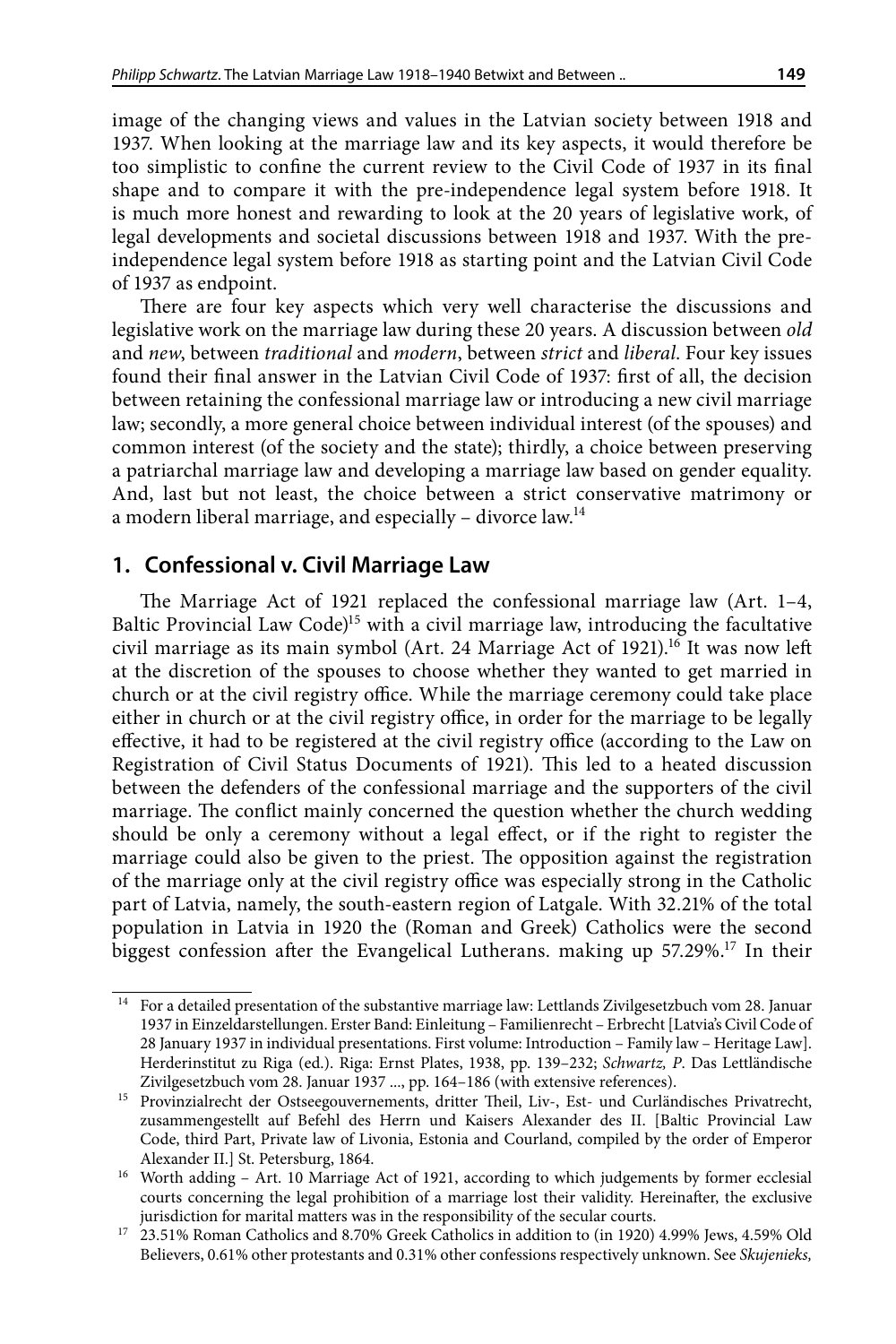image of the changing views and values in the Latvian society between 1918 and 1937. When looking at the marriage law and its key aspects, it would therefore be too simplistic to confine the current review to the Civil Code of 1937 in its final shape and to compare it with the pre-independence legal system before 1918. It is much more honest and rewarding to look at the 20 years of legislative work, of legal developments and societal discussions between 1918 and 1937. With the preindependence legal system before 1918 as starting point and the Latvian Civil Code of 1937 as endpoint.

There are four key aspects which very well characterise the discussions and legislative work on the marriage law during these 20 years. A discussion between *old* and *new*, between *traditional* and *modern*, between *strict* and *liberal*. Four key issues found their final answer in the Latvian Civil Code of 1937: first of all, the decision between retaining the confessional marriage law or introducing a new civil marriage law; secondly, a more general choice between individual interest (of the spouses) and common interest (of the society and the state); thirdly, a choice between preserving a patriarchal marriage law and developing a marriage law based on gender equality. And, last but not least, the choice between a strict conservative matrimony or a modern liberal marriage, and especially – divorce law.14

### **1. Confessional v. Civil Marriage Law**

The Marriage Act of 1921 replaced the confessional marriage law (Art. 1–4, Baltic Provincial Law Code $)$ <sup>15</sup> with a civil marriage law, introducing the facultative civil marriage as its main symbol (Art. 24 Marriage Act of 1921).<sup>16</sup> It was now left at the discretion of the spouses to choose whether they wanted to get married in church or at the civil registry office. While the marriage ceremony could take place either in church or at the civil registry office, in order for the marriage to be legally effective, it had to be registered at the civil registry office (according to the Law on Registration of Civil Status Documents of 1921). This led to a heated discussion between the defenders of the confessional marriage and the supporters of the civil marriage. The conflict mainly concerned the question whether the church wedding should be only a ceremony without a legal effect, or if the right to register the marriage could also be given to the priest. The opposition against the registration of the marriage only at the civil registry office was especially strong in the Catholic part of Latvia, namely, the south-eastern region of Latgale. With 32.21% of the total population in Latvia in 1920 the (Roman and Greek) Catholics were the second biggest confession after the Evangelical Lutherans. making up 57.29%.17 In their

<sup>14</sup> For a detailed presentation of the substantive marriage law: Lettlands Zivilgesetzbuch vom 28. Januar 1937 in Einzeldarstellungen. Erster Band: Einleitung – Familienrecht – Erbrecht [Latvia's Civil Code of 28 January 1937 in individual presentations. First volume: Introduction – Family law – Heritage Law]. Herderinstitut zu Riga (ed.). Riga: Ernst Plates, 1938, pp. 139–232; *Schwartz, P*. Das Lettländische Zivilgesetzbuch vom 28. Januar 1937 ..., pp. 164–186 (with extensive references).

<sup>15</sup> Provinzialrecht der Ostseegouvernements, dritter Theil, Liv-, Est- und Curländisches Privatrecht, zusammengestellt auf Befehl des Herrn und Kaisers Alexander des II. [Baltic Provincial Law Code, third Part, Private law of Livonia, Estonia and Courland, compiled by the order of Emperor Alexander II.] St. Petersburg, 1864.

<sup>&</sup>lt;sup>16</sup> Worth adding - Art. 10 Marriage Act of 1921, according to which judgements by former ecclesial courts concerning the legal prohibition of a marriage lost their validity. Hereinafter, the exclusive

jurisdiction for marital matters was in the responsibility of the secular courts. 17 23.51% Roman Catholics and 8.70% Greek Catholics in addition to (in 1920) 4.99% Jews, 4.59% Old Believers, 0.61% other protestants and 0.31% other confessions respectively unknown. See *Skujenieks,*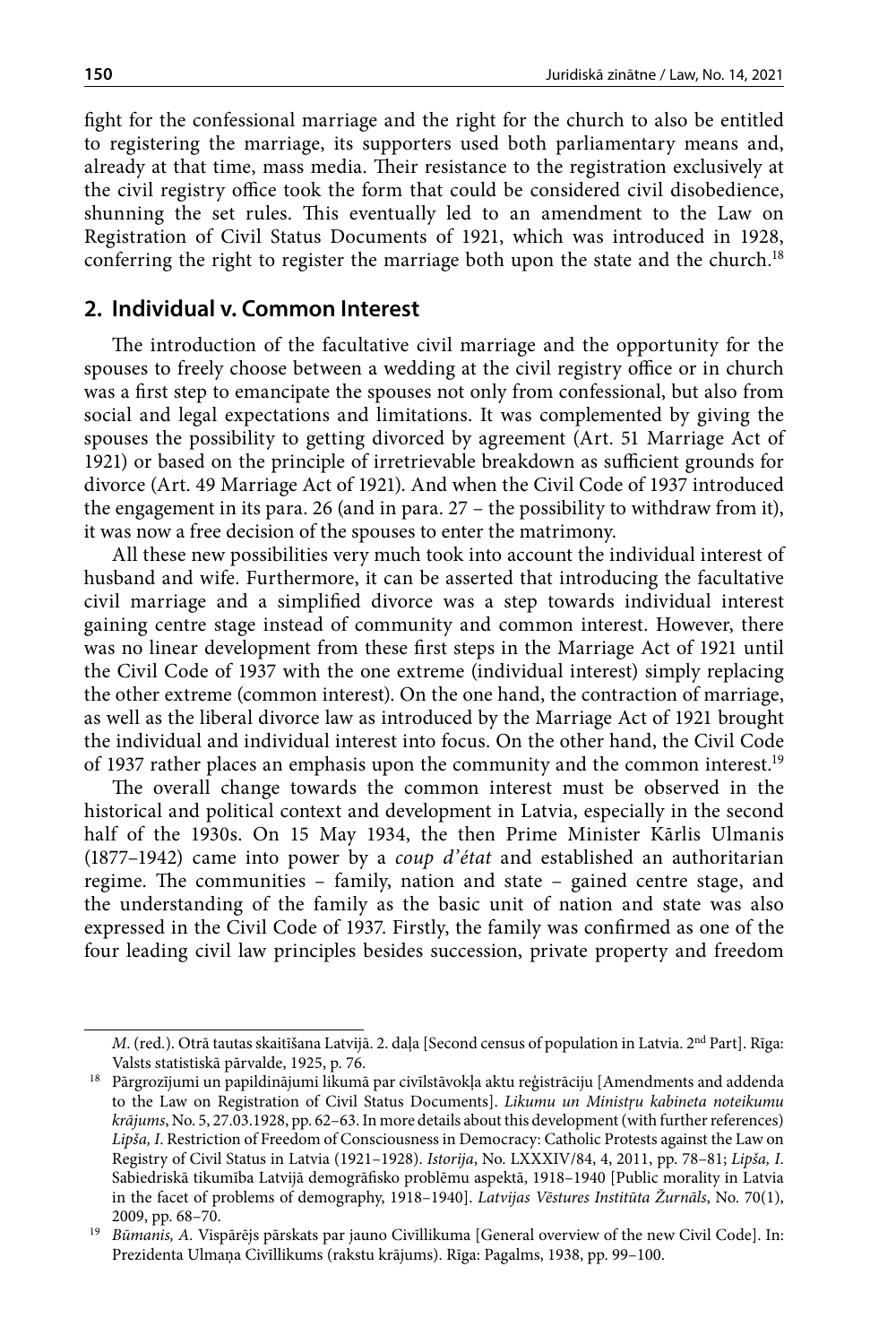fight for the confessional marriage and the right for the church to also be entitled to registering the marriage, its supporters used both parliamentary means and, already at that time, mass media. Their resistance to the registration exclusively at the civil registry office took the form that could be considered civil disobedience, shunning the set rules. This eventually led to an amendment to the Law on Registration of Civil Status Documents of 1921, which was introduced in 1928, conferring the right to register the marriage both upon the state and the church.<sup>18</sup>

## **2. Individual v. Common Interest**

The introduction of the facultative civil marriage and the opportunity for the spouses to freely choose between a wedding at the civil registry office or in church was a first step to emancipate the spouses not only from confessional, but also from social and legal expectations and limitations. It was complemented by giving the spouses the possibility to getting divorced by agreement (Art. 51 Marriage Act of 1921) or based on the principle of irretrievable breakdown as sufficient grounds for divorce (Art. 49 Marriage Act of 1921). And when the Civil Code of 1937 introduced the engagement in its para. 26 (and in para. 27 – the possibility to withdraw from it), it was now a free decision of the spouses to enter the matrimony.

All these new possibilities very much took into account the individual interest of husband and wife. Furthermore, it can be asserted that introducing the facultative civil marriage and a simplified divorce was a step towards individual interest gaining centre stage instead of community and common interest. However, there was no linear development from these first steps in the Marriage Act of 1921 until the Civil Code of 1937 with the one extreme (individual interest) simply replacing the other extreme (common interest). On the one hand, the contraction of marriage, as well as the liberal divorce law as introduced by the Marriage Act of 1921 brought the individual and individual interest into focus. On the other hand, the Civil Code of 1937 rather places an emphasis upon the community and the common interest.<sup>19</sup>

The overall change towards the common interest must be observed in the historical and political context and development in Latvia, especially in the second half of the 1930s. On 15 May 1934, the then Prime Minister Kārlis Ulmanis (1877–1942) came into power by a *coup d'état* and established an authoritarian regime. The communities – family, nation and state – gained centre stage, and the understanding of the family as the basic unit of nation and state was also expressed in the Civil Code of 1937. Firstly, the family was confirmed as one of the four leading civil law principles besides succession, private property and freedom

*M*. (red.). Otrā tautas skaitīšana Latvijā. 2. daļa [Second census of population in Latvia. 2<sup>nd</sup> Part]. Rīga:

Valsts statistiskā pārvalde, 1925, p. 76. 18 Pārgrozījumi un papildinājumi likumā par civīlstāvokļa aktu reģistrāciju [Amendments and addenda to the Law on Registration of Civil Status Documents]. *Likumu un Ministŗu kabineta noteikumu krājums*, No. 5, 27.03.1928, pp. 62–63. In more details about this development (with further references) *Lipša, I*. Restriction of Freedom of Consciousness in Democracy: Catholic Protests against the Law on Registry of Civil Status in Latvia (1921–1928). *Istorija*, No. LXXXIV/84, 4, 2011, pp. 78–81; *Lipša, I*. Sabiedriskā tikumība Latvijā demogrāfisko problēmu aspektā, 1918–1940 [Public morality in Latvia in the facet of problems of demography, 1918–1940]. *Latvijas Vēstures Institūta Žurnāls*, No. 70(1), 2009, pp. 68–70.

<sup>&</sup>lt;sup>19</sup> Būmanis, A. Vispārējs pārskats par jauno Civīllikuma [General overview of the new Civil Code]. In: Prezidenta Ulmaņa Civīllikums (rakstu krājums). Rīga: Pagalms, 1938, pp. 99–100.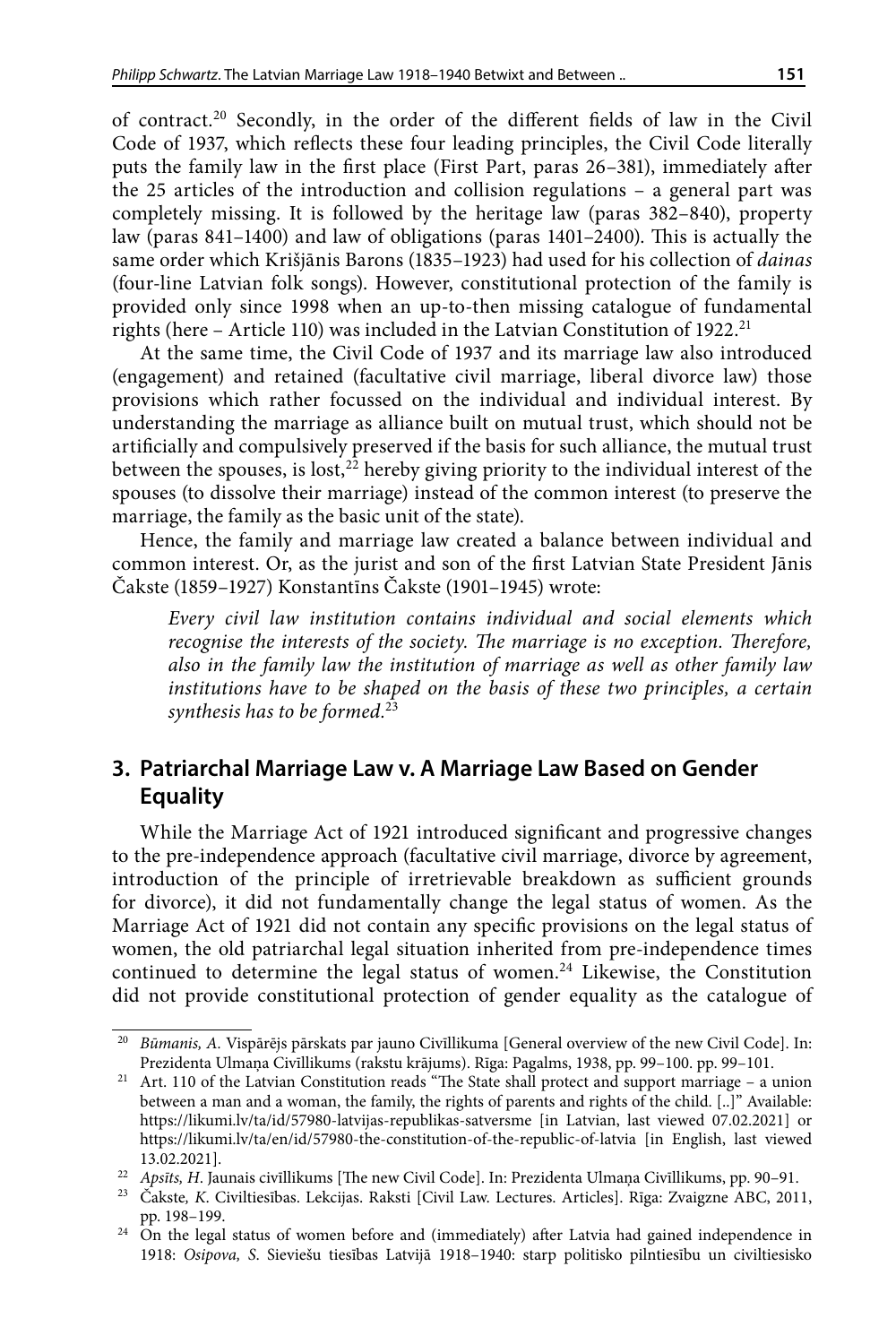of contract.20 Secondly, in the order of the different fields of law in the Civil Code of 1937, which reflects these four leading principles, the Civil Code literally puts the family law in the first place (First Part, paras 26–381), immediately after the 25 articles of the introduction and collision regulations – a general part was completely missing. It is followed by the heritage law (paras 382–840), property law (paras 841–1400) and law of obligations (paras 1401–2400). This is actually the same order which Krišjānis Barons (1835–1923) had used for his collection of *dainas* (four-line Latvian folk songs). However, constitutional protection of the family is provided only since 1998 when an up-to-then missing catalogue of fundamental rights (here - Article 110) was included in the Latvian Constitution of 1922.<sup>21</sup>

At the same time, the Civil Code of 1937 and its marriage law also introduced (engagement) and retained (facultative civil marriage, liberal divorce law) those provisions which rather focussed on the individual and individual interest. By understanding the marriage as alliance built on mutual trust, which should not be artificially and compulsively preserved if the basis for such alliance, the mutual trust between the spouses, is lost,  $2^2$  hereby giving priority to the individual interest of the spouses (to dissolve their marriage) instead of the common interest (to preserve the marriage, the family as the basic unit of the state).

Hence, the family and marriage law created a balance between individual and common interest. Or, as the jurist and son of the first Latvian State President Jānis Čakste (1859–1927) Konstantīns Čakste (1901–1945) wrote:

*Every civil law institution contains individual and social elements which recognise the interests of the society. The marriage is no exception. Therefore, also in the family law the institution of marriage as well as other family law institutions have to be shaped on the basis of these two principles, a certain synthesis has to be formed.*<sup>23</sup>

## **3. Patriarchal Marriage Law v. A Marriage Law Based on Gender Equality**

While the Marriage Act of 1921 introduced significant and progressive changes to the pre-independence approach (facultative civil marriage, divorce by agreement, introduction of the principle of irretrievable breakdown as sufficient grounds for divorce), it did not fundamentally change the legal status of women. As the Marriage Act of 1921 did not contain any specific provisions on the legal status of women, the old patriarchal legal situation inherited from pre-independence times continued to determine the legal status of women.<sup>24</sup> Likewise, the Constitution did not provide constitutional protection of gender equality as the catalogue of

<sup>20</sup> *Būmanis, A.* Vispārējs pārskats par jauno Civīllikuma [General overview of the new Civil Code]. In: Prezidenta Ulmaņa Civīllikums (rakstu krājums). Rīga: Pagalms, 1938, pp. 99–100. pp. 99–101.

<sup>&</sup>lt;sup>21</sup> Art. 110 of the Latvian Constitution reads "The State shall protect and support marriage – a union between a man and a woman, the family, the rights of parents and rights of the child. [..]" Available: <https://likumi.lv/ta/id/57980-latvijas-republikas-satversme> [in Latvian, last viewed 07.02.2021] or <https://likumi.lv/ta/en/id/57980-the-constitution-of-the-republic-of-latvia> [in English, last viewed

<sup>13.02.2021].&</sup>lt;br><sup>22</sup> Apsīts, H. Jaunais civīllikums [The new Civil Code]. In: Prezidenta Ulmaņa Civīllikums, pp. 90–91.<br><sup>23</sup> Čakste, K. Civiltiesības. Lekcijas. Raksti [Civil Law. Lectures. Articles]. Rīga: Zvaigzne ABC, 2011

pp. 198–199. 24 On the legal status of women before and (immediately) after Latvia had gained independence in

<sup>1918:</sup> *Osipova, S*. Sieviešu tiesības Latvijā 1918–1940: starp politisko pilntiesību un civiltiesisko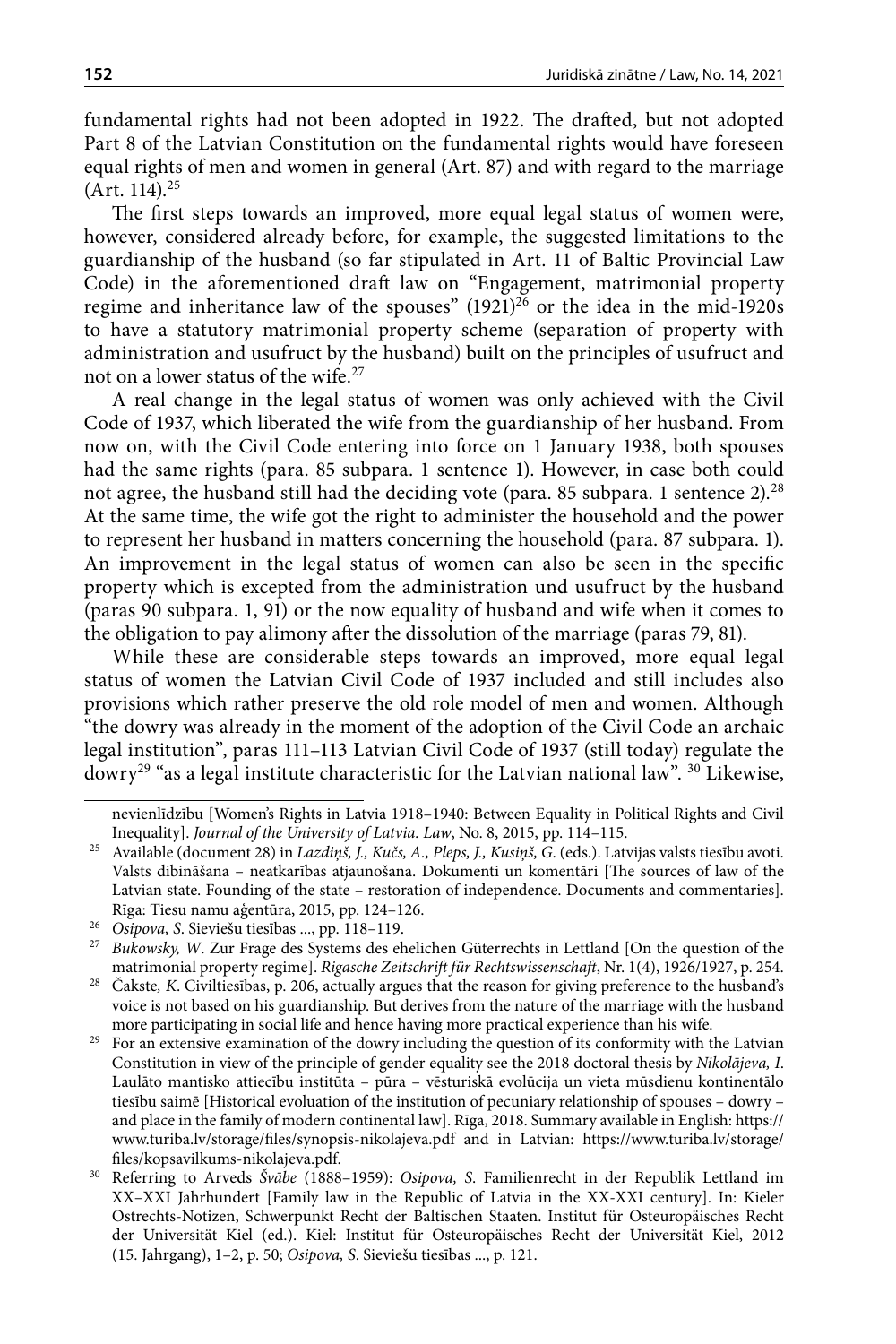fundamental rights had not been adopted in 1922. The drafted, but not adopted Part 8 of the Latvian Constitution on the fundamental rights would have foreseen equal rights of men and women in general (Art. 87) and with regard to the marriage  $(Art. 114).^{25}$ 

The first steps towards an improved, more equal legal status of women were, however, considered already before, for example, the suggested limitations to the guardianship of the husband (so far stipulated in Art. 11 of Baltic Provincial Law Code) in the aforementioned draft law on "Engagement, matrimonial property regime and inheritance law of the spouses"  $(1921)^{26}$  or the idea in the mid-1920s to have a statutory matrimonial property scheme (separation of property with administration and usufruct by the husband) built on the principles of usufruct and not on a lower status of the wife.27

A real change in the legal status of women was only achieved with the Civil Code of 1937, which liberated the wife from the guardianship of her husband. From now on, with the Civil Code entering into force on 1 January 1938, both spouses had the same rights (para. 85 subpara. 1 sentence 1). However, in case both could not agree, the husband still had the deciding vote (para. 85 subpara. 1 sentence 2).<sup>28</sup> At the same time, the wife got the right to administer the household and the power to represent her husband in matters concerning the household (para. 87 subpara. 1). An improvement in the legal status of women can also be seen in the specific property which is excepted from the administration und usufruct by the husband (paras 90 subpara. 1, 91) or the now equality of husband and wife when it comes to the obligation to pay alimony after the dissolution of the marriage (paras 79, 81).

While these are considerable steps towards an improved, more equal legal status of women the Latvian Civil Code of 1937 included and still includes also provisions which rather preserve the old role model of men and women. Although "the dowry was already in the moment of the adoption of the Civil Code an archaic legal institution", paras 111–113 Latvian Civil Code of 1937 (still today) regulate the dowry<sup>29</sup> "as a legal institute characteristic for the Latvian national law".  $30$  Likewise,

nevienlīdzību [Women's Rights in Latvia 1918–1940: Between Equality in Political Rights and Civil Inequality]. *Journal of the University of Latvia. Law*, No. 8, 2015, pp. 114–115.

<sup>25</sup> Available (document 28) in *Lazdiņš, J., Kučs, A., Pleps, J., Kusiņš, G*. (eds.). Latvijas valsts tiesību avoti. Valsts dibināšana – neatkarības atjaunošana. Dokumenti un komentāri [The sources of law of the Latvian state. Founding of the state – restoration of independence. Documents and commentaries].<br>Rīga: Tiesu namu aģentūra, 2015, pp. 124–126.

<sup>&</sup>lt;sup>26</sup> Osipova, S. Sieviešu tiesības ..., pp. 118-119.

<sup>&</sup>lt;sup>27</sup> Bukowsky, W. Zur Frage des Systems des ehelichen Güterrechts in Lettland [On the question of the matrimonial property regime]. *Rigasche Zeitschrift für Rechtswissenschaft*, Nr. 1(4), 1926/1927, p. 254.

<sup>28</sup> Čakste*, K*. Civiltiesības, p. 206, actually argues that the reason for giving preference to the husband's voice is not based on his guardianship. But derives from the nature of the marriage with the husband more participating in social life and hence having more practical experience than his wife.

<sup>&</sup>lt;sup>29</sup> For an extensive examination of the dowry including the question of its conformity with the Latvian Constitution in view of the principle of gender equality see the 2018 doctoral thesis by *Nikolājeva, I*. Laulāto mantisko attiecību institūta – pūra – vēsturiskā evolūcija un vieta mūsdienu kontinentālo tiesību saimē [Historical evoluation of the institution of pecuniary relationship of spouses – dowry – and place in the family of modern continental law]. Rīga, 2018. Summary available in English: https:// www.turiba.lv/storage/files/synopsis-nikolajeva.pdf and in Latvian: https://www.turiba.lv/storage/ files/kopsavilkums-nikolajeva.pdf.

<sup>30</sup> Referring to Arveds *Švābe* (1888–1959): *Osipova, S*. Familienrecht in der Republik Lettland im XX–XXI Jahrhundert [Family law in the Republic of Latvia in the XX-XXI century]. In: Kieler Ostrechts-Notizen, Schwerpunkt Recht der Baltischen Staaten. Institut für Osteuropäisches Recht der Universität Kiel (ed.). Kiel: Institut für Osteuropäisches Recht der Universität Kiel, 2012 (15. Jahrgang), 1–2, p. 50; *Osipova, S*. Sieviešu tiesības ..., p. 121.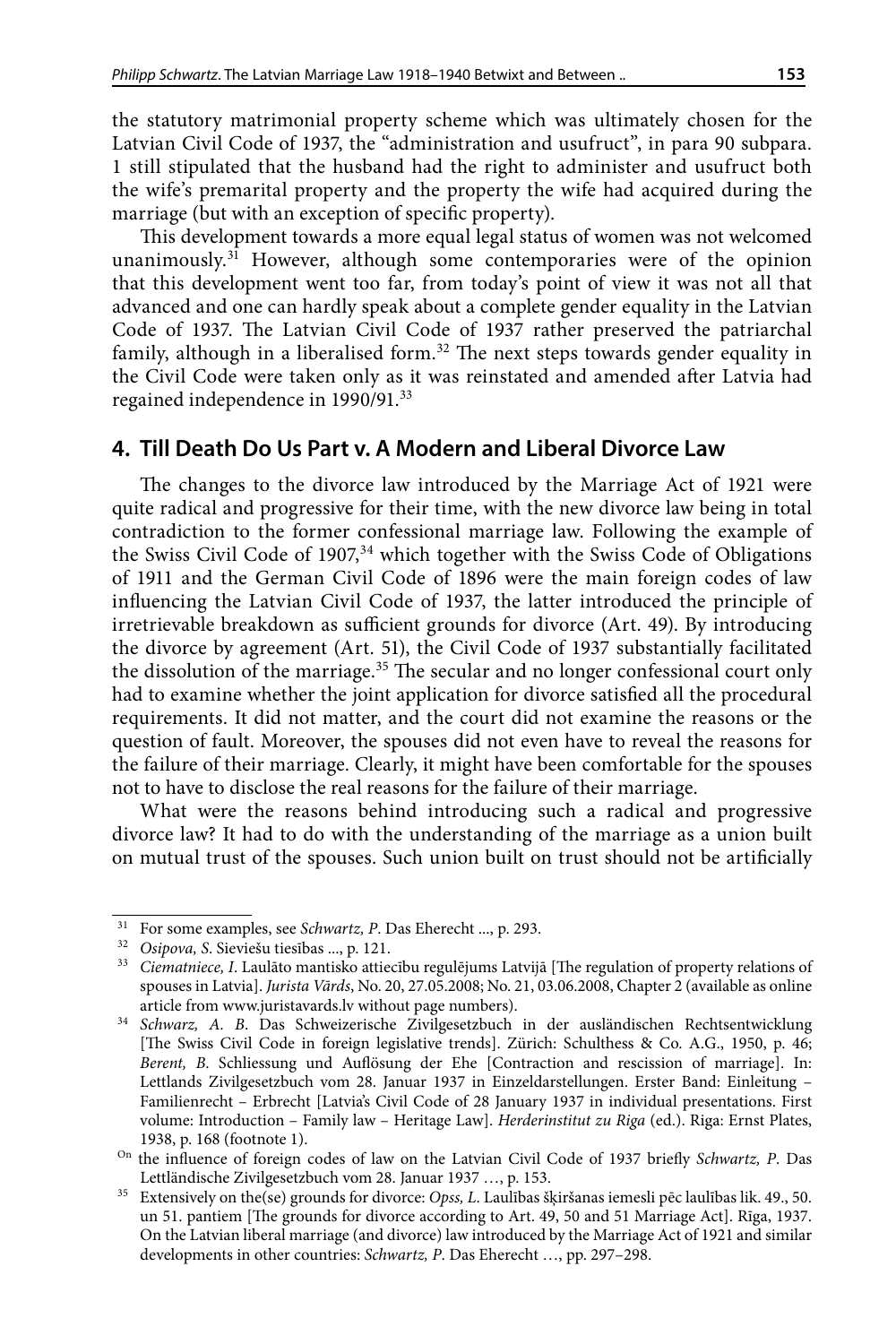the statutory matrimonial property scheme which was ultimately chosen for the Latvian Civil Code of 1937, the "administration and usufruct", in para 90 subpara. 1 still stipulated that the husband had the right to administer and usufruct both the wife's premarital property and the property the wife had acquired during the marriage (but with an exception of specific property).

This development towards a more equal legal status of women was not welcomed unanimously.<sup>31</sup> However, although some contemporaries were of the opinion that this development went too far, from today's point of view it was not all that advanced and one can hardly speak about a complete gender equality in the Latvian Code of 1937. The Latvian Civil Code of 1937 rather preserved the patriarchal family, although in a liberalised form.<sup>32</sup> The next steps towards gender equality in the Civil Code were taken only as it was reinstated and amended after Latvia had regained independence in 1990/91.33

#### **4. Till Death Do Us Part v. A Modern and Liberal Divorce Law**

The changes to the divorce law introduced by the Marriage Act of 1921 were quite radical and progressive for their time, with the new divorce law being in total contradiction to the former confessional marriage law. Following the example of the Swiss Civil Code of  $1907<sub>34</sub>$  which together with the Swiss Code of Obligations of 1911 and the German Civil Code of 1896 were the main foreign codes of law influencing the Latvian Civil Code of 1937, the latter introduced the principle of irretrievable breakdown as sufficient grounds for divorce (Art. 49). By introducing the divorce by agreement (Art. 51), the Civil Code of 1937 substantially facilitated the dissolution of the marriage.35 The secular and no longer confessional court only had to examine whether the joint application for divorce satisfied all the procedural requirements. It did not matter, and the court did not examine the reasons or the question of fault. Moreover, the spouses did not even have to reveal the reasons for the failure of their marriage. Clearly, it might have been comfortable for the spouses not to have to disclose the real reasons for the failure of their marriage.

What were the reasons behind introducing such a radical and progressive divorce law? It had to do with the understanding of the marriage as a union built on mutual trust of the spouses. Such union built on trust should not be artificially

<sup>31</sup> For some examples, see *Schwartz, P*. Das Eherecht ..., p. 293.

<sup>32</sup> *Osipova, S*. Sieviešu tiesības ..., p. 121.

<sup>33</sup> *Ciematniece, I*. Laulāto mantisko attiecību regulējums Latvijā [The regulation of property relations of spouses in Latvia]. *Jurista Vārds*, No. 20, 27.05.2008; No. 21, 03.06.2008, Chapter 2 (available as online article from [www.juristavards.lv](http://www.juristavards.lv) without page numbers).

<sup>34</sup> *Schwarz, A. B*. Das Schweizerische Zivilgesetzbuch in der ausländischen Rechtsentwicklung [The Swiss Civil Code in foreign legislative trends]. Zürich: Schulthess & Co. A.G., 1950, p. 46; *Berent, B*. Schliessung und Auflösung der Ehe [Contraction and rescission of marriage]. In: Lettlands Zivilgesetzbuch vom 28. Januar 1937 in Einzeldarstellungen. Erster Band: Einleitung – Familienrecht – Erbrecht [Latvia's Civil Code of 28 January 1937 in individual presentations. First volume: Introduction – Family law – Heritage Law]. *Herderinstitut zu Riga* (ed.). Riga: Ernst Plates,

<sup>1938,</sup> p. 168 (footnote 1). On the influence of foreign codes of law on the Latvian Civil Code of 1937 briefly *Schwartz, P*. Das Lettländische Zivilgesetzbuch vom 28. Januar 1937 …, p. 153.

<sup>35</sup> Extensively on the(se) grounds for divorce: *Opss, L*. Laulības šķiršanas iemesli pēc laulības lik. 49., 50. un 51. pantiem [The grounds for divorce according to Art. 49, 50 and 51 Marriage Act]. Rīga, 1937. On the Latvian liberal marriage (and divorce) law introduced by the Marriage Act of 1921 and similar developments in other countries: *Schwartz, P*. Das Eherecht …, pp. 297–298.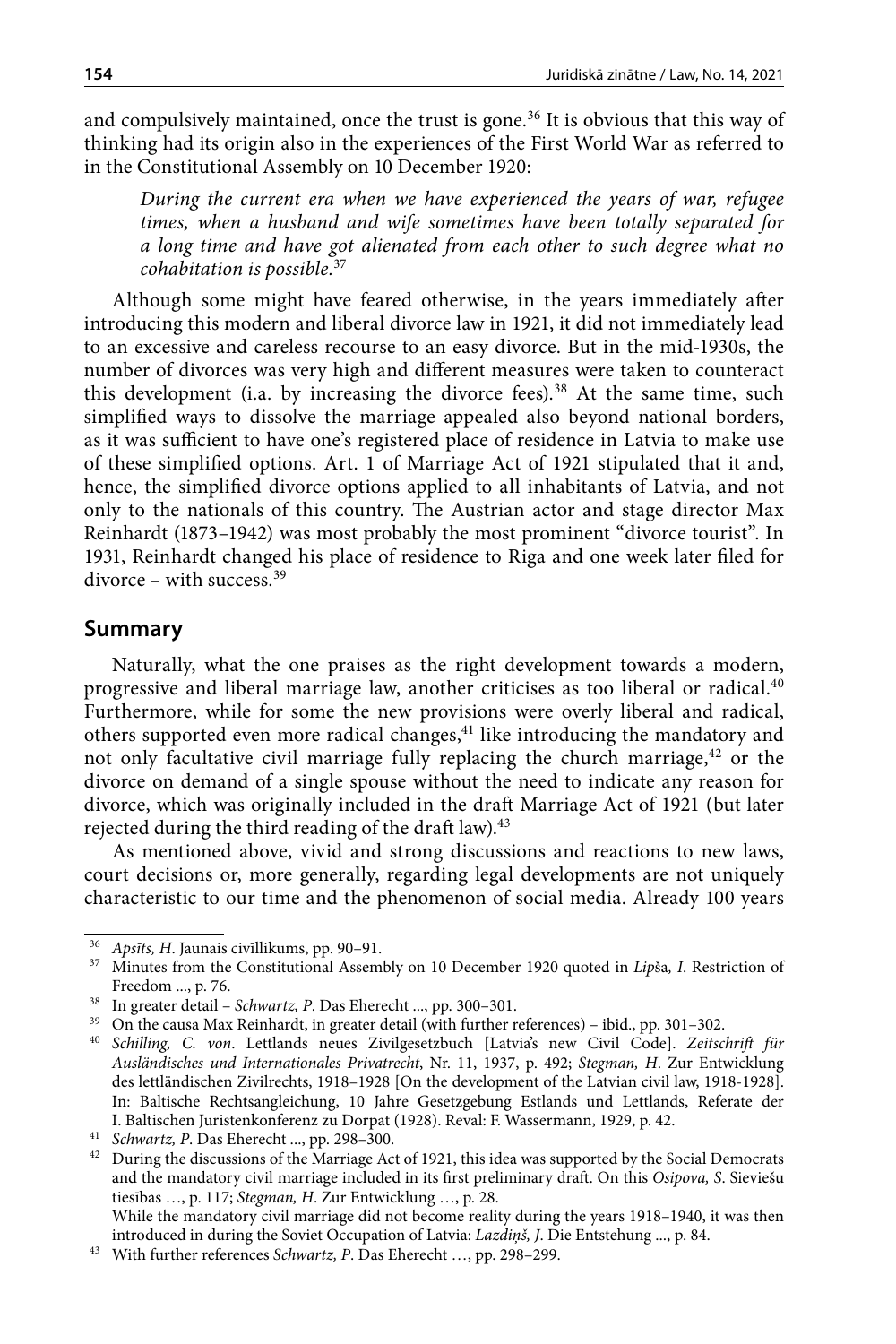and compulsively maintained, once the trust is gone.<sup>36</sup> It is obvious that this way of thinking had its origin also in the experiences of the First World War as referred to in the Constitutional Assembly on 10 December 1920:

*During the current era when we have experienced the years of war, refugee times, when a husband and wife sometimes have been totally separated for a long time and have got alienated from each other to such degree what no cohabitation is possible.*<sup>37</sup>

Although some might have feared otherwise, in the years immediately after introducing this modern and liberal divorce law in 1921, it did not immediately lead to an excessive and careless recourse to an easy divorce. But in the mid-1930s, the number of divorces was very high and different measures were taken to counteract this development (i.a. by increasing the divorce fees).<sup>38</sup> At the same time, such simplified ways to dissolve the marriage appealed also beyond national borders, as it was sufficient to have one's registered place of residence in Latvia to make use of these simplified options. Art. 1 of Marriage Act of 1921 stipulated that it and, hence, the simplified divorce options applied to all inhabitants of Latvia, and not only to the nationals of this country. The Austrian actor and stage director Max Reinhardt (1873–1942) was most probably the most prominent "divorce tourist". In 1931, Reinhardt changed his place of residence to Riga and one week later filed for  $divorce - with success.<sup>39</sup>$ 

#### **Summary**

Naturally, what the one praises as the right development towards a modern, progressive and liberal marriage law, another criticises as too liberal or radical.<sup>40</sup> Furthermore, while for some the new provisions were overly liberal and radical, others supported even more radical changes,<sup>41</sup> like introducing the mandatory and not only facultative civil marriage fully replacing the church marriage,<sup>42</sup> or the divorce on demand of a single spouse without the need to indicate any reason for divorce, which was originally included in the draft Marriage Act of 1921 (but later rejected during the third reading of the draft law).<sup>43</sup>

As mentioned above, vivid and strong discussions and reactions to new laws, court decisions or, more generally, regarding legal developments are not uniquely characteristic to our time and the phenomenon of social media. Already 100 years

While the mandatory civil marriage did not become reality during the years 1918–1940, it was then introduced in during the Soviet Occupation of Latvia: *Lazdiņš, J*. Die Entstehung ..., p. 84.

<sup>36</sup> *Apsīts, H*. Jaunais civīllikums, pp. 90–91.

<sup>37</sup> Minutes from the Constitutional Assembly on 10 December 1920 quoted in *Lip*ša*, I*. Restriction of Freedom ..., p. 76.

<sup>38</sup> In greater detail – *Schwartz, P*. Das Eherecht ..., pp. 300–301.

<sup>39</sup> On the causa Max Reinhardt, in greater detail (with further references) – ibid., pp. 301–302.

<sup>40</sup> *Schilling, C. von*. Lettlands neues Zivilgesetzbuch [Latvia's new Civil Code]. *Zeitschrift für Ausländisches und Internationales Privatrecht*, Nr. 11, 1937, p. 492; *Stegman, H*. Zur Entwicklung des lettländischen Zivilrechts, 1918–1928 [On the development of the Latvian civil law, 1918-1928]. In: Baltische Rechtsangleichung, 10 Jahre Gesetzgebung Estlands und Lettlands, Referate der I. Baltischen Juristenkonferenz zu Dorpat (1928). Reval: F. Wassermann, 1929, p. 42.

<sup>41</sup> *Schwartz, P*. Das Eherecht ..., pp. 298–300.

 $^{42}\;$  During the discussions of the Marriage Act of 1921, this idea was supported by the Social Democrats and the mandatory civil marriage included in its first preliminary draft. On this *Osipova, S*. Sieviešu tiesības …, p. 117; *Stegman, H*. Zur Entwicklung …, p. 28.

<sup>43</sup> With further references *Schwartz, P*. Das Eherecht …, pp. 298–299.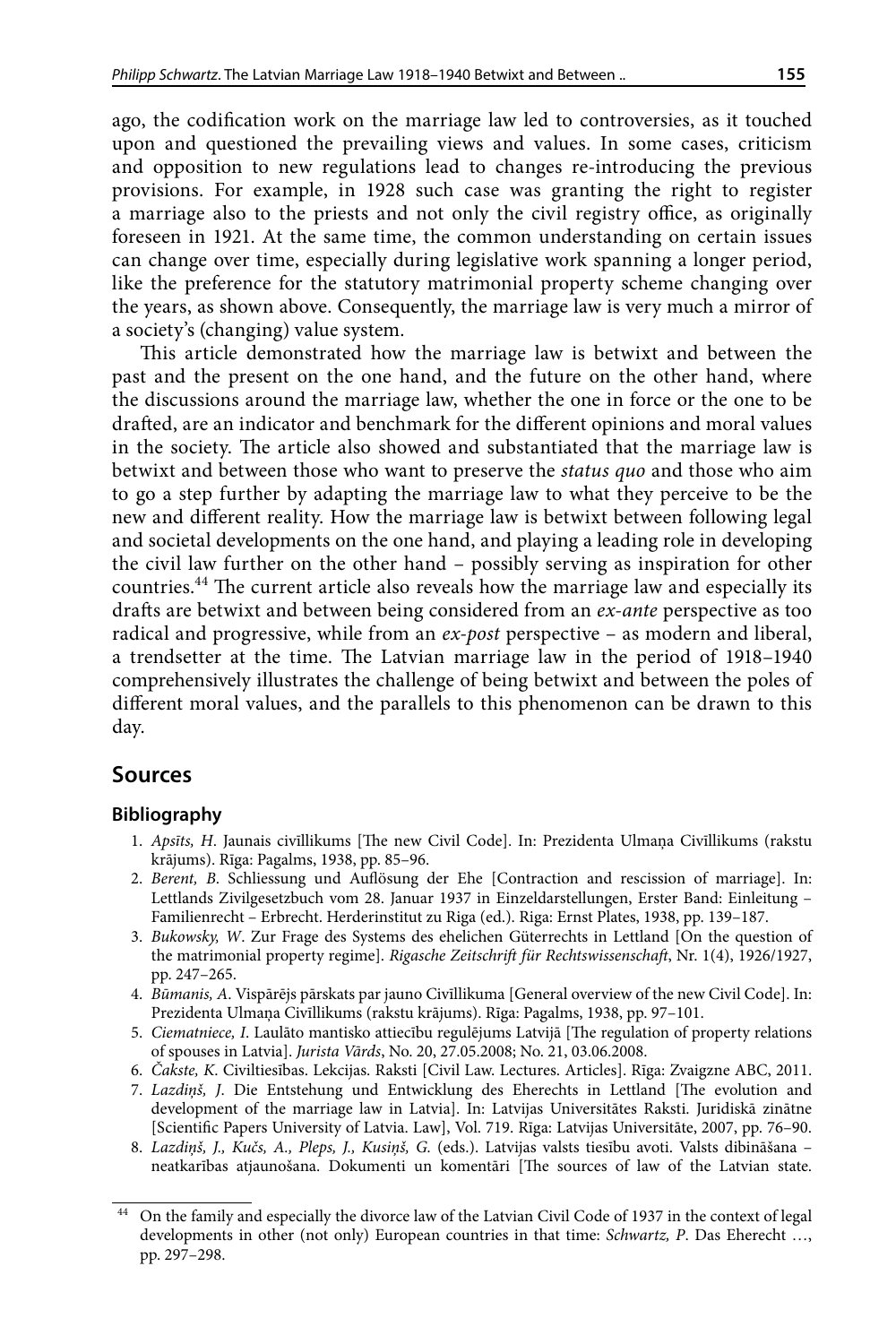ago, the codification work on the marriage law led to controversies, as it touched upon and questioned the prevailing views and values. In some cases, criticism and opposition to new regulations lead to changes re-introducing the previous provisions. For example, in 1928 such case was granting the right to register a marriage also to the priests and not only the civil registry office, as originally foreseen in 1921. At the same time, the common understanding on certain issues can change over time, especially during legislative work spanning a longer period, like the preference for the statutory matrimonial property scheme changing over the years, as shown above. Consequently, the marriage law is very much a mirror of a society's (changing) value system.

This article demonstrated how the marriage law is betwixt and between the past and the present on the one hand, and the future on the other hand, where the discussions around the marriage law, whether the one in force or the one to be drafted, are an indicator and benchmark for the different opinions and moral values in the society. The article also showed and substantiated that the marriage law is betwixt and between those who want to preserve the *status quo* and those who aim to go a step further by adapting the marriage law to what they perceive to be the new and different reality. How the marriage law is betwixt between following legal and societal developments on the one hand, and playing a leading role in developing the civil law further on the other hand – possibly serving as inspiration for other countries.44 The current article also reveals how the marriage law and especially its drafts are betwixt and between being considered from an *ex-ante* perspective as too radical and progressive, while from an *ex-post* perspective – as modern and liberal, a trendsetter at the time. The Latvian marriage law in the period of 1918–1940 comprehensively illustrates the challenge of being betwixt and between the poles of different moral values, and the parallels to this phenomenon can be drawn to this day.

### **Sources**

#### **Bibliography**

- 1. *Apsīts, H*. Jaunais civīllikums [The new Civil Code]. In: Prezidenta Ulmaņa Civīllikums (rakstu krājums). Rīga: Pagalms, 1938, pp. 85–96.
- 2. *Berent, B*. Schliessung und Auflösung der Ehe [Contraction and rescission of marriage]. In: Lettlands Zivilgesetzbuch vom 28. Januar 1937 in Einzeldarstellungen, Erster Band: Einleitung – Familienrecht – Erbrecht. Herderinstitut zu Riga (ed.). Riga: Ernst Plates, 1938, pp. 139–187.
- 3. *Bukowsky, W*. Zur Frage des Systems des ehelichen Güterrechts in Lettland [On the question of the matrimonial property regime]. *Rigasche Zeitschrift für Rechtswissenschaft*, Nr. 1(4), 1926/1927, pp. 247–265.
- 4. *Būmanis, A*. Vispārējs pārskats par jauno Civīllikuma [General overview of the new Civil Code]. In: Prezidenta Ulmaņa Civīllikums (rakstu krājums). Rīga: Pagalms, 1938, pp. 97–101.
- 5. *Ciematniece, I*. Laulāto mantisko attiecību regulējums Latvijā [The regulation of property relations of spouses in Latvia]. *Jurista Vārds*, No. 20, 27.05.2008; No. 21, 03.06.2008.
- 6. *Čakste, K*. Civiltiesības. Lekcijas. Raksti [Civil Law. Lectures. Articles]. Rīga: Zvaigzne ABC, 2011.
- 7. *Lazdiņš, J*. Die Entstehung und Entwicklung des Eherechts in Lettland [The evolution and development of the marriage law in Latvia]. In: Latvijas Universitātes Raksti. Juridiskā zinātne [Scientific Papers University of Latvia. Law], Vol. 719. Rīga: Latvijas Universitāte, 2007, pp. 76–90.
- 8. *Lazdiņš, J., Kučs, A., Pleps, J., Kusiņš, G.* (eds.). Latvijas valsts tiesību avoti. Valsts dibināšana neatkarības atjaunošana. Dokumenti un komentāri [The sources of law of the Latvian state.

<sup>44</sup> On the family and especially the divorce law of the Latvian Civil Code of 1937 in the context of legal developments in other (not only) European countries in that time: *Schwartz, P*. Das Eherecht …, pp. 297–298.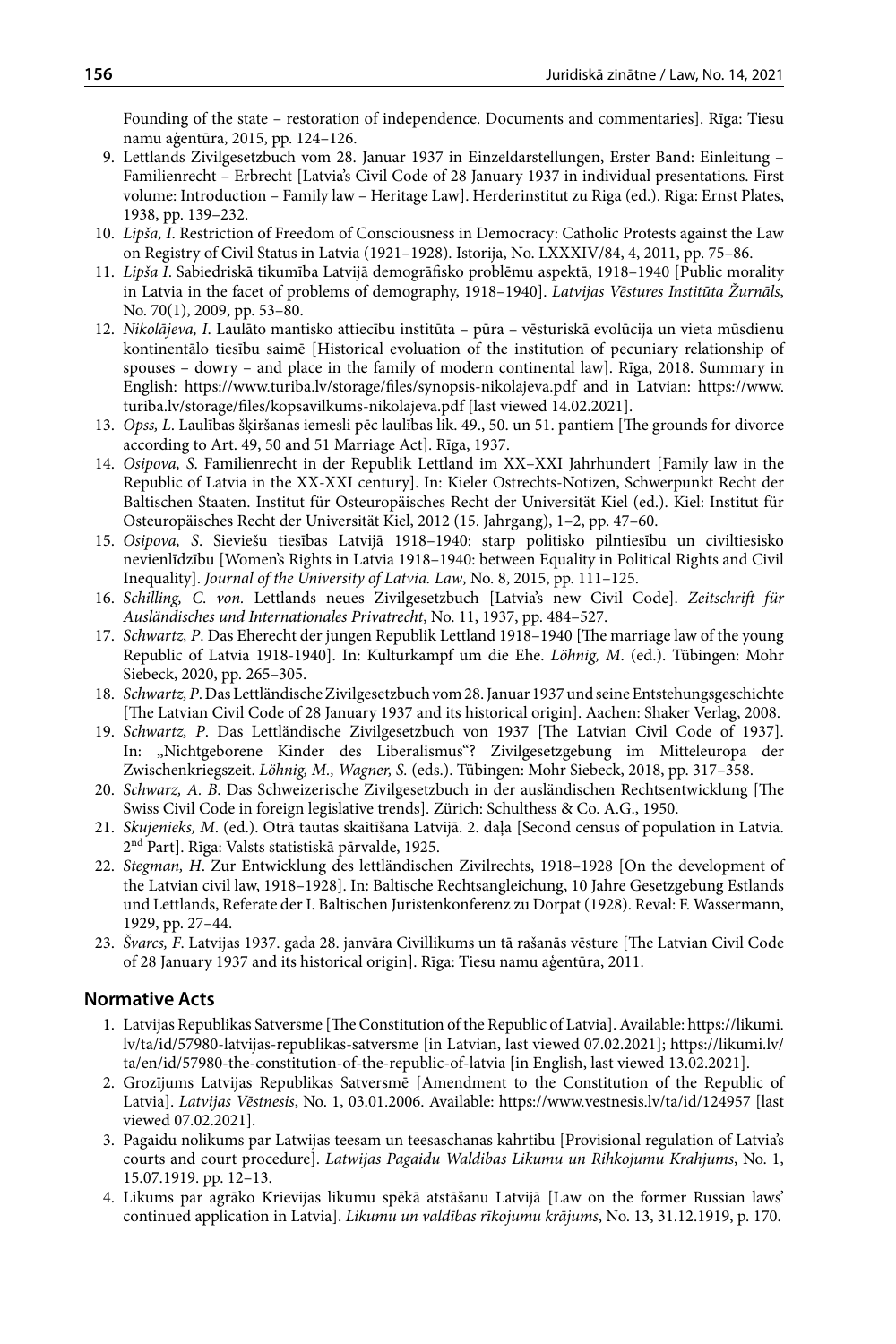Founding of the state – restoration of independence. Documents and commentaries]. Rīga: Tiesu namu aģentūra, 2015, pp. 124–126.

- 9. Lettlands Zivilgesetzbuch vom 28. Januar 1937 in Einzeldarstellungen, Erster Band: Einleitung Familienrecht – Erbrecht [Latvia's Civil Code of 28 January 1937 in individual presentations. First volume: Introduction – Family law – Heritage Law]. Herderinstitut zu Riga (ed.). Riga: Ernst Plates, 1938, pp. 139–232.
- 10. *Lipša, I*. Restriction of Freedom of Consciousness in Democracy: Catholic Protests against the Law on Registry of Civil Status in Latvia (1921–1928). Istorija, No. LXXXIV/84, 4, 2011, pp. 75–86.
- 11. *Lipša I*. Sabiedriskā tikumība Latvijā demogrāfisko problēmu aspektā, 1918–1940 [Public morality in Latvia in the facet of problems of demography, 1918–1940]. *Latvijas Vēstures Institūta Žurnāls*, No. 70(1), 2009, pp. 53–80.
- 12. *Nikolājeva, I*. Laulāto mantisko attiecību institūta pūra vēsturiskā evolūcija un vieta mūsdienu kontinentālo tiesību saimē [Historical evoluation of the institution of pecuniary relationship of spouses – dowry – and place in the family of modern continental law]. Rīga, 2018. Summary in English: https://www.turiba.lv/storage/files/synopsis-nikolajeva.pdf and in Latvian: https://www. turiba.lv/storage/files/kopsavilkums-nikolajeva.pdf [last viewed 14.02.2021].
- 13. *Opss, L*. Laulības šķiršanas iemesli pēc laulības lik. 49., 50. un 51. pantiem [The grounds for divorce according to Art. 49, 50 and 51 Marriage Act]. Rīga, 1937.
- 14. *Osipova, S*. Familienrecht in der Republik Lettland im XX–XXI Jahrhundert [Family law in the Republic of Latvia in the XX-XXI century]. In: Kieler Ostrechts-Notizen, Schwerpunkt Recht der Baltischen Staaten. Institut für Osteuropäisches Recht der Universität Kiel (ed.). Kiel: Institut für Osteuropäisches Recht der Universität Kiel, 2012 (15. Jahrgang), 1–2, pp. 47–60.
- 15. *Osipova, S*. Sieviešu tiesības Latvijā 1918–1940: starp politisko pilntiesību un civiltiesisko nevienlīdzību [Women's Rights in Latvia 1918–1940: between Equality in Political Rights and Civil Inequality]. *Journal of the University of Latvia. Law*, No. 8, 2015, pp. 111–125.
- 16. *Schilling, C*. *von.* Lettlands neues Zivilgesetzbuch [Latvia's new Civil Code]. *Zeitschrift für Ausländisches und Internationales Privatrecht*, No. 11, 1937, pp. 484–527.
- 17. *Schwartz, P*. Das Eherecht der jungen Republik Lettland 1918–1940 [The marriage law of the young Republic of Latvia 1918-1940]. In: Kulturkampf um die Ehe. *Löhnig, M*. (ed.). Tübingen: Mohr Siebeck, 2020, pp. 265–305.
- 18. *Schwartz, P*. Das Lettländische Zivilgesetzbuch vom 28. Januar 1937 und seine Entstehungsgeschichte [The Latvian Civil Code of 28 January 1937 and its historical origin]. Aachen: Shaker Verlag, 2008.
- 19. *Schwartz, P*. Das Lettländische Zivilgesetzbuch von 1937 [The Latvian Civil Code of 1937]. In: "Nichtgeborene Kinder des Liberalismus"? Zivilgesetzgebung im Mitteleuropa der Zwischenkriegszeit. *Löhnig, M., Wagner, S.* (eds.). Tübingen: Mohr Siebeck, 2018, pp. 317–358.
- 20. *Schwarz, A. B*. Das Schweizerische Zivilgesetzbuch in der ausländischen Rechtsentwicklung [The Swiss Civil Code in foreign legislative trends]. Zürich: Schulthess & Co. A.G., 1950.
- 21. *Skujenieks, M*. (ed.). Otrā tautas skaitīšana Latvijā. 2. daļa [Second census of population in Latvia. 2nd Part]. Rīga: Valsts statistiskā pārvalde, 1925.
- 22. *Stegman, H*. Zur Entwicklung des lettländischen Zivilrechts, 1918–1928 [On the development of the Latvian civil law, 1918–1928]. In: Baltische Rechtsangleichung, 10 Jahre Gesetzgebung Estlands und Lettlands, Referate der I. Baltischen Juristenkonferenz zu Dorpat (1928). Reval: F. Wassermann, 1929, pp. 27–44.
- 23. *Švarcs, F*. Latvijas 1937. gada 28. janvāra Civillikums un tā rašanās vēsture [The Latvian Civil Code of 28 January 1937 and its historical origin]. Rīga: Tiesu namu aģentūra, 2011.

#### **Normative Acts**

- 1. Latvijas Republikas Satversme [The Constitution of the Republic of Latvia]. Available: https://likumi. lv/ta/id/57980-latvijas-republikas-satversme [in Latvian, last viewed 07.02.2021]; https://likumi.lv/ ta/en/id/57980-the-constitution-of-the-republic-of-latvia [in English, last viewed 13.02.2021].
- 2. Grozījums Latvijas Republikas Satversmē [Amendment to the Constitution of the Republic of Latvia]. *Latvijas Vēstnesis*, No. 1, 03.01.2006. Available: https://www.vestnesis.lv/ta/id/124957 [last viewed 07.02.2021].
- 3. Pagaidu nolikums par Latwijas teesam un teesaschanas kahrtibu [Provisional regulation of Latvia's courts and court procedure]. *Latwijas Pagaidu Waldibas Likumu un Rihkojumu Krahjums*, No. 1, 15.07.1919. pp. 12–13.
- 4. Likums par agrāko Krievijas likumu spēkā atstāšanu Latvijā [Law on the former Russian laws' continued application in Latvia]. *Likumu un valdības rīkojumu krājums*, No. 13, 31.12.1919, p. 170.